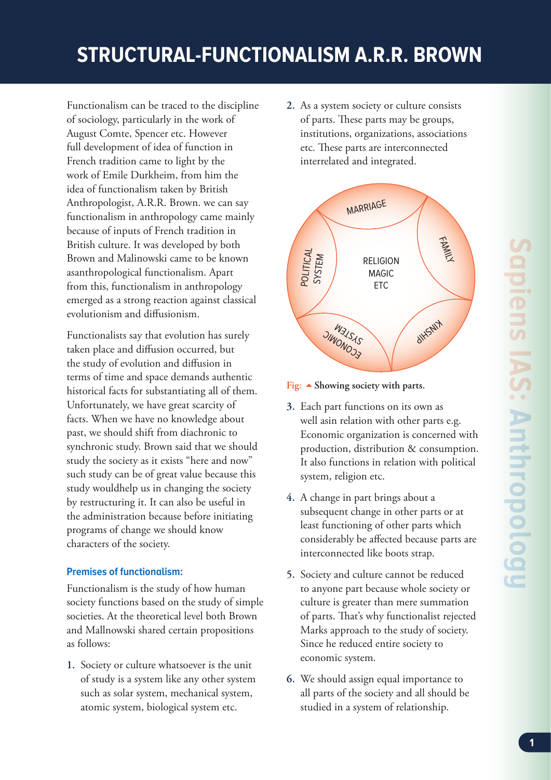# **STRUCTURAL-FUNCTIONALISM A.R.R. BROWN**

Functionalism can be traced to the discipline of sociology, particularly in the work of August Comte, Spencer etc. However full development of idea of function in French tradition came to light by the work of Emile Durkheim, from him the idea of functionalism taken by British Anthropologist, A.R.R. Brown. we can say functionalism in anthropology came mainly because of inputs of French tradition in British culture. It was developed by both Brown and Malinowski came to be known asanthropological functionalism. Apart from this, functionalism in anthropology emerged as a strong reaction against classical evolutionism and diffusionism.

Functionalists say that evolution has surely taken place and diffusion occurred, but the study of evolution and diffusion in terms of time and space demands authentic historical facts for substantiating all of them. Unfortunately, we have great scarcity of facts. When we have no knowledge about past, we should shift from diachronic to synchronic study. Brown said that we should study the society as it exists "here and now" such study can be of great value because this study wouldhelp us in changing the society by restructuring it. It can also be useful in the administration because before initiating programs of change we should know characters of the society.

## **Premises of functionalism:**

Functionalism is the study of how human society functions based on the study of simple societies. At the theoretical level both Brown and Mallnowski shared certain propositions as follows:

**1.** Society or culture whatsoever is the unit of study is a system like any other system such as solar system, mechanical system, atomic system, biological system etc.

**2.** As a system society or culture consists of parts. These parts may be groups, institutions, organizations, associations etc. These parts are interconnected interrelated and integrated.



## **Fig: Showing society with parts.**

- **3.** Each part functions on its own as well asin relation with other parts e.g. Economic organization is concerned with production, distribution & consumption. It also functions in relation with political system, religion etc.
- **4.** A change in part brings about a subsequent change in other parts or at least functioning of other parts which considerably be affected because parts are interconnected like boots strap.
- **5.** Society and culture cannot be reduced to anyone part because whole society or culture is greater than mere summation of parts. That's why functionalist rejected Marks approach to the study of society. Since he reduced entire society to economic system.
- **6.** We should assign equal importance to all parts of the society and all should be studied in a system of relationship.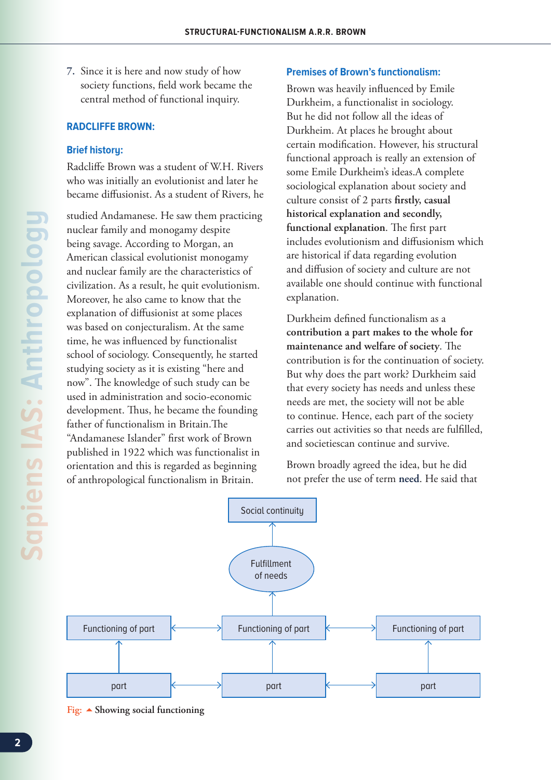**7.** Since it is here and now study of how society functions, field work became the central method of functional inquiry.

#### **RADCLIFFE BROWN:**

#### **Brief history:**

Radcliffe Brown was a student of W.H. Rivers who was initially an evolutionist and later he became diffusionist. As a student of Rivers, he

studied Andamanese. He saw them practicing nuclear family and monogamy despite being savage. According to Morgan, an American classical evolutionist monogamy and nuclear family are the characteristics of civilization. As a result, he quit evolutionism. Moreover, he also came to know that the explanation of diffusionist at some places was based on conjecturalism. At the same time, he was influenced by functionalist school of sociology. Consequently, he started studying society as it is existing "here and now". The knowledge of such study can be used in administration and socio-economic development. Thus, he became the founding father of functionalism in Britain.The "Andamanese Islander" first work of Brown published in 1922 which was functionalist in orientation and this is regarded as beginning of anthropological functionalism in Britain.

#### **Premises of Brown's functionalism:**

Brown was heavily influenced by Emile Durkheim, a functionalist in sociology. But he did not follow all the ideas of Durkheim. At places he brought about certain modification. However, his structural functional approach is really an extension of some Emile Durkheim's ideas.A complete sociological explanation about society and culture consist of 2 parts **firstly, casual historical explanation and secondly, functional explanation**. The first part includes evolutionism and diffusionism which are historical if data regarding evolution and diffusion of society and culture are not available one should continue with functional explanation.

Durkheim defined functionalism as a **contribution a part makes to the whole for maintenance and welfare of society**. The contribution is for the continuation of society. But why does the part work? Durkheim said that every society has needs and unless these needs are met, the society will not be able to continue. Hence, each part of the society carries out activities so that needs are fulfilled, and societiescan continue and survive.

Brown broadly agreed the idea, but he did not prefer the use of term **need**. He said that



**Fig: Showing social functioning**